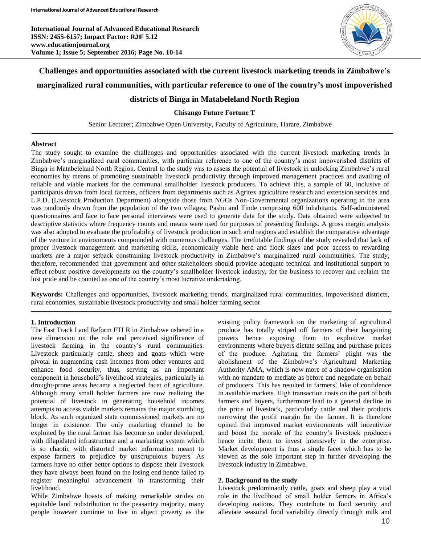**International Journal of Advanced Educational Research ISSN: 2455-6157; Impact Factor: RJIF 5.12 www.educationjournal.org Volume 1; Issue 5; September 2016; Page No. 10-14**



# **Challenges and opportunities associated with the current livestock marketing trends in Zimbabwe's marginalized rural communities, with particular reference to one of the country's most impoverished districts of Binga in Matabeleland North Region**

**Chisango Future Fortune T**

Senior Lecturer; Zimbabwe Open University, Faculty of Agriculture, Harare, Zimbabwe

## **Abstract**

The study sought to examine the challenges and opportunities associated with the current livestock marketing trends in Zimbabwe's marginalized rural communities, with particular reference to one of the country's most impoverished districts of Binga in Matabeleland North Region. Central to the study was to assess the potential of livestock in unlocking Zimbabwe's rural economies by means of promoting sustainable livestock productivity through improved management practices and availing of reliable and viable markets for the communal smallholder livestock producers. To achieve this, a sample of 60, inclusive of participants drawn from local farmers, officers from departments such as Agritex agriculture research and extension services and L.P.D. (Livestock Production Department) alongside those from NGOs Non-Governmental organizations operating in the area was randomly drawn from the population of the two villages; Pashu and Tinde comprising 600 inhabitants. Self-administered questionnaires and face to face personal interviews were used to generate data for the study. Data obtained were subjected to descriptive statistics where frequency counts and means were used for purposes of presenting findings. A gross margin analysis was also adopted to evaluate the profitability of livestock production in such arid regions and establish the comparative advantage of the venture in environments compounded with numerous challenges. The irrefutable findings of the study revealed that lack of proper livestock management and marketing skills, economically viable herd and flock sizes and poor access to rewarding markets are a major setback constraining livestock productivity in Zimbabwe's marginalized rural communities. The study, therefore, recommended that government and other stakeholders should provide adequate technical and institutional support to effect robust positive developments on the country's smallholder livestock industry, for the business to recover and reclaim the lost pride and be counted as one of the country's most lucrative undertaking.

**Keywords:** Challenges and opportunities, livestock marketing trends, marginalized rural communities, impoverished districts, rural economies, sustainable livestock productivity and small holder farming sector

## **1. Introduction**

The Fast Track Land Reform FTLR in Zimbabwe ushered in a new dimension on the role and perceived significance of livestock farming in the country's rural communities. Livestock particularly cattle, sheep and goats which were pivotal in augmenting cash incomes from other ventures and enhance food security, thus, serving as an important component in household's livelihood strategies, particularly in drought-prone areas became a neglected facet of agriculture. Although many small holder farmers are now realizing the potential of livestock in generating household incomes attempts to access viable markets remains the major stumbling block. As such organized state commissioned markets are no longer in existence. The only marketing channel to be exploited by the rural farmer has become so under developed, with dilapidated infrastructure and a marketing system which is so chaotic with distorted market information meant to expose farmers to prejudice by unscrupulous buyers. As farmers have no other better options to dispose their livestock they have always been found on the losing end hence failed to register meaningful advancement in transforming their livelihood.

While Zimbabwe boasts of making remarkable strides on equitable land redistribution to the peasantry majority, many people however continue to live in abject poverty as the

existing policy framework on the marketing of agricultural produce has totally striped off farmers of their bargaining powers hence exposing them to exploitive market environments where buyers dictate selling and purchase prices of the produce. Agitating the farmers' plight was the abolishment of the Zimbabwe's Agricultural Marketing Authority AMA, which is now more of a shadow organisation with no mandate to mediate as before and negotiate on behalf of producers. This has resulted in farmers` lake of confidence in available markets. High transaction costs on the part of both farmers and buyers, furthermore lead to a general decline in the price of livestock, particularly cattle and their products narrowing the profit margin for the farmer. It is therefore opined that improved market environments will incentivize and boost the morale of the country's livestock producers hence incite them to invest intensively in the enterprise. Market development is thus a single facet which has to be viewed as the sole important step in further developing the livestock industry in Zimbabwe.

## **2. Background to the study**

Livestock predominantly cattle, goats and sheep play a vital role in the livelihood of small holder farmers in Africa's developing nations. They contribute to food security and alleviate seasonal food variability directly through milk and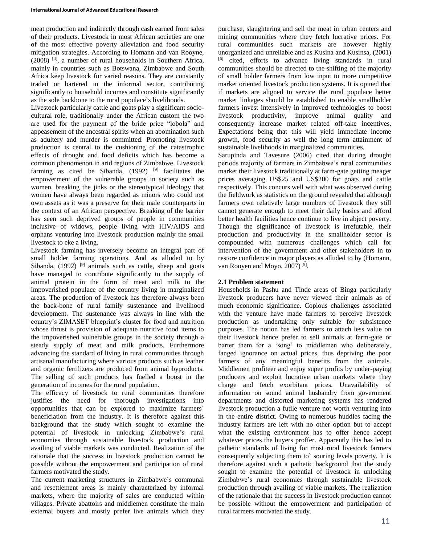meat production and indirectly through cash earned from sales of their products. Livestock in most African societies are one of the most effective poverty alleviation and food security mitigation strategies. According to Homann and van Rooyne, (2008) [4], a number of rural households in Southern Africa, mainly in countries such as Botswana, Zimbabwe and South Africa keep livestock for varied reasons. They are constantly traded or bartered in the informal sector, contributing significantly to household incomes and constitute significantly as the sole backbone to the rural populace`s livelihoods.

Livestock particularly cattle and goats play a significant sociocultural role, traditionally under the African custom the two are used for the payment of the bride price "lobola" and appeasement of the ancestral spirits when an abomination such as adultery and murder is committed. Promoting livestock production is central to the cushioning of the catastrophic effects of drought and food deficits which has become a common phenomenon in arid regions of Zimbabwe. Livestock farming as cited be Sibanda,  $(1992)$  <sup>[9]</sup> facilitates the empowerment of the vulnerable groups in society such as women, breaking the jinks or the stereotypical ideology that women have always been regarded as minors who could not own assets as it was a preserve for their male counterparts in the context of an African perspective. Breaking of the barrier has seen such deprived groups of people in communities inclusive of widows, people living with HIV/AIDS and orphans venturing into livestock production mainly the small livestock to eke a living.

Livestock farming has inversely become an integral part of small holder farming operations. And as alluded to by Sibanda,  $(1992)$  <sup>[9]</sup> animals such as cattle, sheep and goats have managed to contribute significantly to the supply of animal protein in the form of meat and milk to the impoverished populace of the country living in marginalized areas. The production of livestock has therefore always been the back-bone of rural family sustenance and livelihood development. The sustenance was always in line with the country's ZIMASET blueprint's cluster for food and nutrition whose thrust is provision of adequate nutritive food items to the impoverished vulnerable groups in the society through a steady supply of meat and milk products. Furthermore advancing the standard of living in rural communities through artisanal manufacturing where various products such as leather and organic fertilizers are produced from animal byproducts. The selling of such products has fuelled a boost in the generation of incomes for the rural population.

The efficacy of livestock to rural communities therefore justifies the need for thorough investigations into opportunities that can be explored to maximize farmers` beneficiation from the industry. It is therefore against this background that the study which sought to examine the potential of livestock in unlocking Zimbabwe's rural economies through sustainable livestock production and availing of viable markets was conducted. Realization of the rationale that the success in livestock production cannot be possible without the empowerment and participation of rural farmers motivated the study.

The current marketing structures in Zimbabwe`s communal and resettlement areas is mainly characterized by informal markets, where the majority of sales are conducted within villages. Private abattoirs and middlemen constitute the main external buyers and mostly prefer live animals which they

purchase, slaughtering and sell the meat in urban centers and mining communities where they fetch lucrative prices. For rural communities such markets are however highly unorganized and unreliable and as Kusina and Kusinsa, (2001) [6] cited, efforts to advance living standards in rural communities should be directed to the shifting of the majority of small holder farmers from low input to more competitive market oriented livestock production systems. It is opined that if markets are aligned to service the rural populace better market linkages should be established to enable smallholder farmers invest intensively in improved technologies to boost livestock productivity, improve animal quality and consequently increase market related off-take incentives. Expectations being that this will yield immediate income growth, food security as well the long term attainment of sustainable livelihoods in marginalized communities.

Sarupinda and Tavesure (2006) cited that during drought periods majority of farmers in Zimbabwe's rural communities market their livestock traditionally at farm-gate getting meager prices averaging US\$25 and US\$200 for goats and cattle respectively. This concurs well with what was observed during the fieldwork as statistics on the ground revealed that although farmers own relatively large numbers of livestock they still cannot generate enough to meet their daily basics and afford better health facilities hence continue to live in abject poverty. Though the significance of livestock is irrefutable, their production and productivity in the smallholder sector is compounded with numerous challenges which call for intervention of the government and other stakeholders in to restore confidence in major players as alluded to by (Homann, van Rooyen and Moyo, 2007)<sup>[5]</sup>.

## **2.1 Problem statement**

Households in Pashu and Tinde areas of Binga particularly livestock producers have never viewed their animals as of much economic significance. Copious challenges associated with the venture have made farmers to perceive livestock production as undertaking only suitable for subsistence purposes. The notion has led farmers to attach less value on their livestock hence prefer to sell animals at farm-gate or barter them for a 'song' to middlemen who deliberately, fanged ignorance on actual prices, thus depriving the poor farmers of any meaningful benefits from the animals. Middlemen profiteer and enjoy super profits by under-paying producers and exploit lucrative urban markets where they charge and fetch exorbitant prices. Unavailability of information on sound animal husbandry from government departments and distorted marketing systems has rendered livestock production a futile venture not worth venturing into in the entire district. Owing to numerous huddles facing the industry farmers are left with no other option but to accept what the existing environment has to offer hence accept whatever prices the buyers proffer. Apparently this has led to pathetic standards of living for most rural livestock farmers consequently subjecting them to` souring levels poverty. It is therefore against such a pathetic background that the study sought to examine the potential of livestock in unlocking Zimbabwe's rural economies through sustainable livestock production through availing of viable markets. The realization of the rationale that the success in livestock production cannot be possible without the empowerment and participation of rural farmers motivated the study.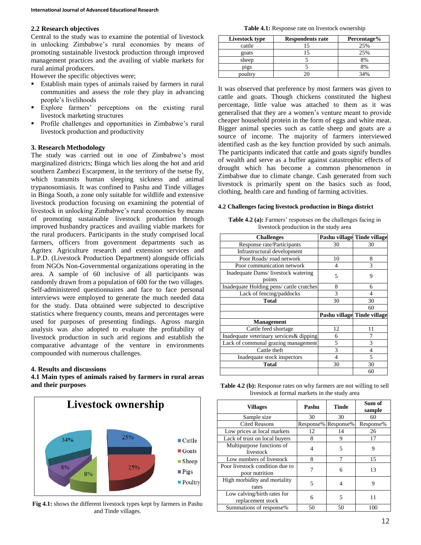## **2.2 Research objectives**

Central to the study was to examine the potential of livestock in unlocking Zimbabwe's rural economies by means of promoting sustainable livestock production through improved management practices and the availing of viable markets for rural animal producers.

However the specific objectives were;

- Establish main types of animals raised by farmers in rural communities and assess the role they play in advancing people's livelihoods
- Explore farmers' perceptions on the existing rural livestock marketing structures
- Profile challenges and opportunities in Zimbabwe's rural livestock production and productivity

## **3. Research Methodology**

The study was carried out in one of Zimbabwe's most marginalized districts; Binga which lies along the hot and arid southern Zambezi Escarpment, in the territory of the tsetse fly, which transmits human sleeping sickness and animal trypanosomiasis. It was confined to Pashu and Tinde villages in Binga South, a zone only suitable for wildlife and extensive livestock production focusing on examining the potential of livestock in unlocking Zimbabwe's rural economies by means of promoting sustainable livestock production through improved husbandry practices and availing viable markets for the rural producers. Participants in the study comprised local farmers, officers from government departments such as Agritex Agriculture research and extension services and L.P.D. (Livestock Production Department) alongside officials from NGOs Non-Governmental organizations operating in the area. A sample of 60 inclusive of all participants was randomly drawn from a population of 600 for the two villages. Self-administered questionnaires and face to face personal interviews were employed to generate the much needed data for the study. Data obtained were subjected to descriptive statistics where frequency counts, means and percentages were used for purposes of presenting findings. Agross margin analysis was also adopted to evaluate the profitability of livestock production in such arid regions and establish the comparative advantage of the venture in environments compounded with numerous challenges.

### **4. Results and discussions**

**4.1 Main types of animals raised by farmers in rural areas and their purposes**



**Fig 4.1:** shows the different livestock types kept by farmers in Pashu and Tinde villages.

**Table 4.1:** Response rate on livestock ownership

| Livestock type | <b>Respondents rate</b> | Percentage% |
|----------------|-------------------------|-------------|
| cattle         |                         | 25%         |
| goats          |                         | 25%         |
| sheep          |                         | 8%          |
| pigs           |                         | 8%          |
| poultry        |                         | 34%         |

It was observed that preference by most farmers was given to cattle and goats. Though chickens constituted the highest percentage, little value was attached to them as it was generalised that they are a women's venture meant to provide cheaper household protein in the form of eggs and white meat. Bigger animal species such as cattle sheep and goats are a source of income. The majority of farmers interviewed identified cash as the key function provided by such animals. The participants indicated that cattle and goats signify bundles of wealth and serve as a buffer against catastrophic effects of drought which has become a common phenomenon in Zimbabwe due to climate change. Cash generated from such livestock is primarily spent on the basics such as food, clothing, health care and funding of farming activities.

#### **4.2 Challenges facing livestock production in Binga district**

**Table 4.2 (a):** Farmers' responses on the challenges facing in livestock production in the study area

| <b>Challenges</b>                        |                             | Pashu village Tinde village |  |
|------------------------------------------|-----------------------------|-----------------------------|--|
| Response rate/Participants               | 30                          | 30                          |  |
| Infrastructural development              |                             |                             |  |
| Poor Roads/road network                  | 10                          | 8                           |  |
| Poor communication network               | 4                           | 3                           |  |
| Inadequate Dams/ livestock watering      | 5                           | 9                           |  |
| points                                   |                             |                             |  |
| Inadequate Holding pens/ cattle crutches | 8                           | 6                           |  |
| Lack of fencing/paddocks                 | 3                           | 4                           |  |
| <b>Total</b>                             | 30                          | 30                          |  |
|                                          |                             | 60                          |  |
|                                          | Pashu village Tinde village |                             |  |
| <b>Management</b>                        |                             |                             |  |
| Cattle feed shortage                     | 12                          | 11                          |  |
| Inadequate veterinary services & dipping | 6                           |                             |  |
| Lack of communal grazing management      | 5                           | 3                           |  |
| Cattle theft                             | 3                           | 4                           |  |
| Inadequate stock inspectors              | 4                           | 5                           |  |
| <b>Total</b>                             | 30                          | 30                          |  |
|                                          |                             | 60                          |  |

**Table 4.2 (b):** Response rates on why farmers are not willing to sell livestock at formal markets in the study area

| <b>Villages</b>                                   | Pashu     | <b>Tinde</b> | Sum of<br>sample |
|---------------------------------------------------|-----------|--------------|------------------|
| Sample size                                       | 30        | 30           | 60               |
| <b>Cited Reasons</b>                              | Response% | Response%    | Response%        |
| Low prices at local markets                       | 12        | 14           | 26               |
| Lack of trust on local buyers                     | 8         | 9            | 17               |
| Multipurpose functions of<br>livestock            | 4         | 5            | 9                |
| Low numbers of livestock                          | 8         | 7            | 15               |
| Poor livestock condition due to<br>poor nutrition |           | 6            | 13               |
| High morbidity and mortality<br>rates             | 5         | 4            | 9                |
| Low calving/birth rates for<br>replacement stock  | 6         | 5            | 11               |
| Summations of response%                           | 50        | 50           | 100              |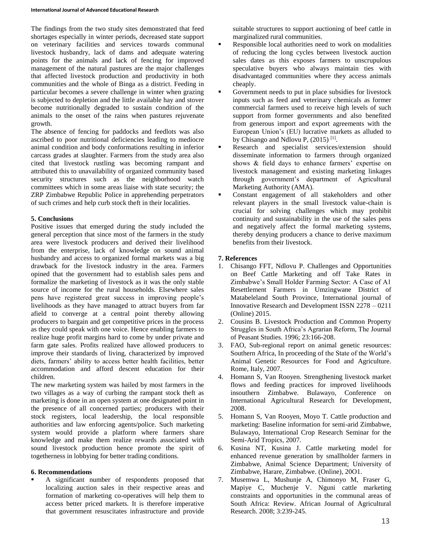The findings from the two study sites demonstrated that feed shortages especially in winter periods, decreased state support on veterinary facilities and services towards communal livestock husbandry, lack of dams and adequate watering points for the animals and lack of fencing for improved management of the natural pastures are the major challenges that affected livestock production and productivity in both communities and the whole of Binga as a district. Feeding in particular becomes a severe challenge in winter when grazing is subjected to depletion and the little available hay and stover become nutritionally degraded to sustain condition of the animals to the onset of the rains when pastures rejuvenate growth.

The absence of fencing for paddocks and feedlots was also ascribed to poor nutritional deficiencies leading to mediocre animal condition and body conformations resulting in inferior carcass grades at slaughter. Farmers from the study area also cited that livestock rustling was becoming rampant and attributed this to unavailability of organized community based security structures such as the neighborhood watch committees which in some areas liaise with state security; the ZRP Zimbabwe Republic Police in apprehending perpetrators of such crimes and help curb stock theft in their localities.

## **5. Conclusions**

Positive issues that emerged during the study included the general perception that since most of the farmers in the study area were livestock producers and derived their livelihood from the enterprise, lack of knowledge on sound animal husbandry and access to organized formal markets was a big drawback for the livestock industry in the area. Farmers opined that the government had to establish sales pens and formalize the marketing of livestock as it was the only stable source of income for the rural households. Elsewhere sales pens have registered great success in improving people's livelihoods as they have managed to attract buyers from far afield to converge at a central point thereby allowing producers to bargain and get competitive prices in the process as they could speak with one voice. Hence enabling farmers to realize huge profit margins hard to come by under private and farm gate sales. Profits realized have allowed producers to improve their standards of living, characterized by improved diets, farmers' ability to access better health facilities, better accommodation and afford descent education for their children.

The new marketing system was hailed by most farmers in the two villages as a way of curbing the rampant stock theft as marketing is done in an open system at one designated point in the presence of all concerned parties; producers with their stock registers, local leadership, the local responsible authorities and law enforcing agents/police. Such marketing system would provide a platform where farmers share knowledge and make them realize rewards associated with sound livestock production hence promote the spirit of togetherness in lobbying for better trading conditions.

## **6. Recommendations**

 A significant number of respondents proposed that localizing auction sales in their respective areas and formation of marketing co-operatives will help them to access better priced markets. It is therefore imperative that government resuscitates infrastructure and provide suitable structures to support auctioning of beef cattle in marginalized rural communities.

- Responsible local authorities need to work on modalities of reducing the long cycles between livestock auction sales dates as this exposes farmers to unscrupulous speculative buyers who always maintain ties with disadvantaged communities where they access animals cheaply.
- Government needs to put in place subsidies for livestock inputs such as feed and veterinary chemicals as former commercial farmers used to receive high levels of such support from former governments and also benefited from generous import and export agreements with the European Union's (EU) lucrative markets as alluded to by Chisango and Ndlovu P, (2015)<sup>[1]</sup>.
- Research and specialist services/extension should disseminate information to farmers through organized shows & field days to enhance farmers' expertise on livestock management and existing marketing linkages through government's department of Agricultural Marketing Authority (AMA).
- Constant engagement of all stakeholders and other relevant players in the small livestock value-chain is crucial for solving challenges which may prohibit continuity and sustainability in the use of the sales pens and negatively affect the formal marketing systems, thereby denying producers a chance to derive maximum benefits from their livestock.

## **7. References**

- 1. Chisango FFT, Ndlovu P. Challenges and Opportunities on Beef Cattle Marketing and off Take Rates in Zimbabwe's Small Holder Farming Sector: A Case of A1 Resettlement Farmers in Umzingwane District of Matabeleland South Province, International journal of Innovative Research and Development ISSN 2278 – 0211 (Online) 2015.
- 2. Cousins B. Livestock Production and Common Property Struggles in South Africa's Agrarian Reform, The Journal of Peasant Studies. 1996; 23:166-208.
- 3. FAO, Sub-regional report on animal genetic resources: Southern Africa, In proceeding of the State of the World's Animal Genetic Resources for Food and Agriculture. Rome, Italy, 2007.
- 4. Homann S, Van Rooyen. Strengthening livestock market flows and feeding practices for improved livelihoods insouthern Zimbabwe. Bulawayo, Conference on International Agricultural Research for Development, 2008.
- 5. Homann S, Van Rooyen, Moyo T. Cattle production and marketing: Baseline information for semi-arid Zimbabwe, Bulawayo, International Crop Research Seminar for the Semi-Arid Tropics, 2007.
- 6. Kusina NT, Kusina J. Cattle marketing model for enhanced revenue generation by smallholder farmers in Zimbabwe, Animal Science Department; University of Zimbabwe, Harare, Zimbabwe. (Online), 20O1.
- 7. Musemwa L, Mushunje A, Chimonyo M, Fraser G, Mapiye C, Muchenje V. Nguni cattle marketing constraints and opportunities in the communal areas of South Africa: Review. African Journal of Agricultural Research. 2008; 3:239-245.